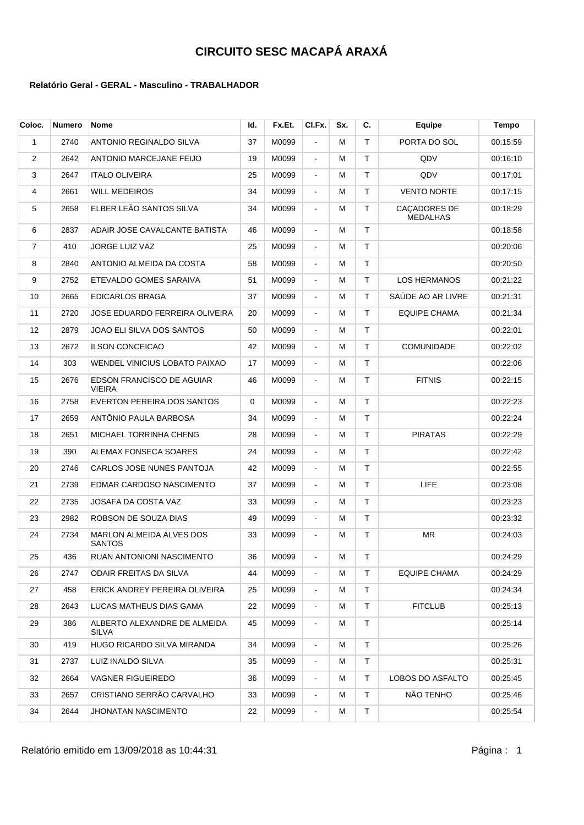| Coloc. | <b>Numero</b> | <b>Nome</b>                                       | ld.      | Fx.Et. | CI.Fx.         | Sx. | С.           | Equipe                          | <b>Tempo</b> |
|--------|---------------|---------------------------------------------------|----------|--------|----------------|-----|--------------|---------------------------------|--------------|
| 1      | 2740          | ANTONIO REGINALDO SILVA                           | 37       | M0099  | ÷,             | м   | T            | PORTA DO SOL                    | 00:15:59     |
| 2      | 2642          | ANTONIO MARCEJANE FEIJO                           | 19       | M0099  | $\blacksquare$ | М   | T            | QDV                             | 00:16:10     |
| 3      | 2647          | <b>ITALO OLIVEIRA</b>                             | 25       | M0099  | ÷.             | М   | T            | QDV                             | 00:17:01     |
| 4      | 2661          | <b>WILL MEDEIROS</b>                              | 34       | M0099  | $\blacksquare$ | м   | $\top$       | <b>VENTO NORTE</b>              | 00:17:15     |
| 5      | 2658          | ELBER LEÃO SANTOS SILVA                           | 34       | M0099  | ÷,             | М   | T            | CAÇADORES DE<br><b>MEDALHAS</b> | 00:18:29     |
| 6      | 2837          | ADAIR JOSE CAVALCANTE BATISTA                     | 46       | M0099  | $\blacksquare$ | М   | T            |                                 | 00:18:58     |
| 7      | 410           | JORGE LUIZ VAZ                                    | 25       | M0099  | $\blacksquare$ | М   | T            |                                 | 00:20:06     |
| 8      | 2840          | ANTONIO ALMEIDA DA COSTA                          | 58       | M0099  | $\blacksquare$ | М   | T            |                                 | 00:20:50     |
| 9      | 2752          | ETEVALDO GOMES SARAIVA                            | 51       | M0099  | ÷,             | м   | $\mathsf{T}$ | LOS HERMANOS                    | 00:21:22     |
| 10     | 2665          | <b>EDICARLOS BRAGA</b>                            | 37       | M0099  | ÷,             | М   | $\top$       | SAÚDE AO AR LIVRE               | 00:21:31     |
| 11     | 2720          | JOSE EDUARDO FERREIRA OLIVEIRA                    | 20       | M0099  | ÷,             | М   | T            | <b>EQUIPE CHAMA</b>             | 00:21:34     |
| 12     | 2879          | JOAO ELI SILVA DOS SANTOS                         | 50       | M0099  | $\blacksquare$ | М   | T            |                                 | 00:22:01     |
| 13     | 2672          | <b>ILSON CONCEICAO</b>                            | 42       | M0099  | $\blacksquare$ | М   | T            | <b>COMUNIDADE</b>               | 00:22:02     |
| 14     | 303           | WENDEL VINICIUS LOBATO PAIXAO                     | 17       | M0099  | $\blacksquare$ | М   | т            |                                 | 00:22:06     |
| 15     | 2676          | <b>EDSON FRANCISCO DE AGUIAR</b><br><b>VIEIRA</b> | 46       | M0099  |                | М   | $\top$       | <b>FITNIS</b>                   | 00:22:15     |
| 16     | 2758          | EVERTON PEREIRA DOS SANTOS                        | $\Omega$ | M0099  | $\blacksquare$ | М   | T            |                                 | 00:22:23     |
| 17     | 2659          | ANTÖNIO PAULA BARBOSA                             | 34       | M0099  | $\blacksquare$ | М   | $\top$       |                                 | 00:22:24     |
| 18     | 2651          | MICHAEL TORRINHA CHENG                            | 28       | M0099  | $\blacksquare$ | М   | $\top$       | <b>PIRATAS</b>                  | 00:22:29     |
| 19     | 390           | ALEMAX FONSECA SOARES                             | 24       | M0099  | $\blacksquare$ | М   | T            |                                 | 00:22:42     |
| 20     | 2746          | CARLOS JOSE NUNES PANTOJA                         | 42       | M0099  | ÷.             | м   | T            |                                 | 00:22:55     |
| 21     | 2739          | EDMAR CARDOSO NASCIMENTO                          | 37       | M0099  | $\blacksquare$ | М   | $\mathsf{T}$ | LIFE                            | 00:23:08     |
| 22     | 2735          | JOSAFA DA COSTA VAZ                               | 33       | M0099  | $\blacksquare$ | М   | T            |                                 | 00:23:23     |
| 23     | 2982          | ROBSON DE SOUZA DIAS                              | 49       | M0099  | $\blacksquare$ | М   | Т            |                                 | 00:23:32     |
| 24     | 2734          | <b>MARLON ALMEIDA ALVES DOS</b><br><b>SANTOS</b>  | 33       | M0099  | ÷.             | м   | T            | <b>MR</b>                       | 00:24:03     |
| 25     | 436           | RUAN ANTONIONI NASCIMENTO                         | 36       | M0099  |                | M   | T.           |                                 | 00:24:29     |
| 26     | 2747          | ODAIR FREITAS DA SILVA                            | 44       | M0099  | $\blacksquare$ | м   | T.           | <b>EQUIPE CHAMA</b>             | 00:24:29     |
| 27     | 458           | ERICK ANDREY PEREIRA OLIVEIRA                     | 25       | M0099  | $\blacksquare$ | м   | T.           |                                 | 00:24:34     |
| 28     | 2643          | LUCAS MATHEUS DIAS GAMA                           | 22       | M0099  | $\blacksquare$ | м   | T.           | <b>FITCLUB</b>                  | 00:25:13     |
| 29     | 386           | ALBERTO ALEXANDRE DE ALMEIDA<br>SILVA             | 45       | M0099  | $\blacksquare$ | м   | Τ            |                                 | 00:25:14     |
| 30     | 419           | HUGO RICARDO SILVA MIRANDA                        | 34       | M0099  | $\blacksquare$ | м   | $\mathsf T$  |                                 | 00:25:26     |
| 31     | 2737          | LUIZ INALDO SILVA                                 | 35       | M0099  | $\blacksquare$ | м   | T.           |                                 | 00:25:31     |
| 32     | 2664          | VAGNER FIGUEIREDO                                 | 36       | M0099  | $\blacksquare$ | м   | Τ            | LOBOS DO ASFALTO                | 00:25:45     |
| 33     | 2657          | CRISTIANO SERRÃO CARVALHO                         | 33       | M0099  | $\blacksquare$ | м   | Τ            | NÃO TENHO                       | 00:25:46     |
| 34     | 2644          | JHONATAN NASCIMENTO                               | 22       | M0099  | $\blacksquare$ | м   | Τ            |                                 | 00:25:54     |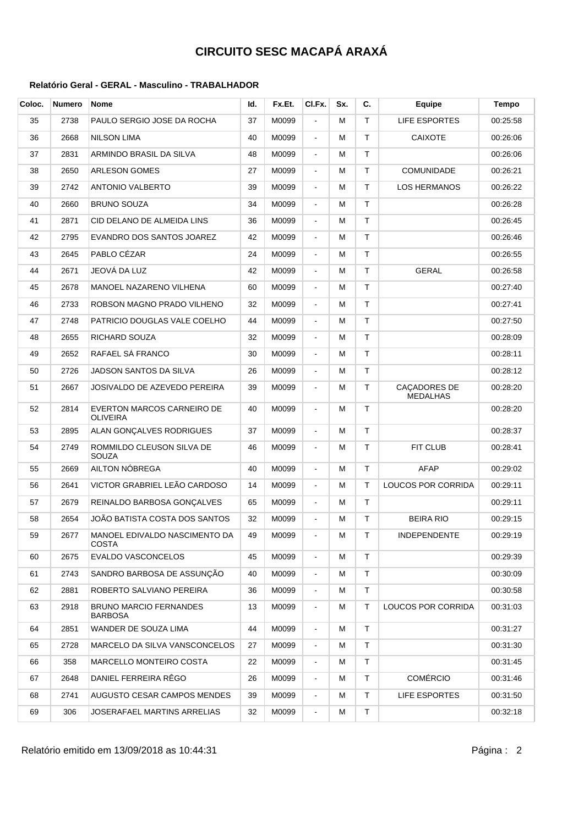| Coloc. | <b>Numero</b> | <b>Nome</b>                                     | Id. | Fx.Et. | CI.Fx.         | Sx. | C. | Equipe                          | Tempo    |
|--------|---------------|-------------------------------------------------|-----|--------|----------------|-----|----|---------------------------------|----------|
| 35     | 2738          | PAULO SERGIO JOSE DA ROCHA                      | 37  | M0099  | ä,             | М   | T. | <b>LIFE ESPORTES</b>            | 00:25:58 |
| 36     | 2668          | <b>NILSON LIMA</b>                              | 40  | M0099  | $\blacksquare$ | М   | T  | <b>CAIXOTE</b>                  | 00:26:06 |
| 37     | 2831          | ARMINDO BRASIL DA SILVA                         | 48  | M0099  | $\blacksquare$ | м   | T  |                                 | 00:26:06 |
| 38     | 2650          | <b>ARLESON GOMES</b>                            | 27  | M0099  | ÷,             | м   | T. | <b>COMUNIDADE</b>               | 00:26:21 |
| 39     | 2742          | <b>ANTONIO VALBERTO</b>                         | 39  | M0099  | ÷,             | М   | T  | LOS HERMANOS                    | 00:26:22 |
| 40     | 2660          | <b>BRUNO SOUZA</b>                              | 34  | M0099  | $\blacksquare$ | М   | T  |                                 | 00:26:28 |
| 41     | 2871          | CID DELANO DE ALMEIDA LINS                      | 36  | M0099  | ÷,             | М   | т  |                                 | 00:26:45 |
| 42     | 2795          | EVANDRO DOS SANTOS JOAREZ                       | 42  | M0099  | $\blacksquare$ | М   | T  |                                 | 00:26:46 |
| 43     | 2645          | PABLO CÉZAR                                     | 24  | M0099  | $\blacksquare$ | М   | T  |                                 | 00:26:55 |
| 44     | 2671          | JEOVÁ DA LUZ                                    | 42  | M0099  | ÷.             | м   | T. | <b>GERAL</b>                    | 00:26:58 |
| 45     | 2678          | <b>MANOEL NAZARENO VILHENA</b>                  | 60  | M0099  | L.             | М   | T  |                                 | 00:27:40 |
| 46     | 2733          | ROBSON MAGNO PRADO VILHENO                      | 32  | M0099  | ÷,             | М   | T  |                                 | 00:27:41 |
| 47     | 2748          | PATRICIO DOUGLAS VALE COELHO                    | 44  | M0099  | $\blacksquare$ | м   | T  |                                 | 00:27:50 |
| 48     | 2655          | RICHARD SOUZA                                   | 32  | M0099  | $\blacksquare$ | М   | T  |                                 | 00:28:09 |
| 49     | 2652          | RAFAEL SÁ FRANCO                                | 30  | M0099  | $\blacksquare$ | м   | T  |                                 | 00:28:11 |
| 50     | 2726          | JADSON SANTOS DA SILVA                          | 26  | M0099  | $\blacksquare$ | м   | T. |                                 | 00:28:12 |
| 51     | 2667          | JOSIVALDO DE AZEVEDO PEREIRA                    | 39  | M0099  | ÷,             | М   | т  | CAÇADORES DE<br><b>MEDALHAS</b> | 00:28:20 |
| 52     | 2814          | EVERTON MARCOS CARNEIRO DE<br><b>OLIVEIRA</b>   | 40  | M0099  | $\blacksquare$ | м   | т  |                                 | 00:28:20 |
| 53     | 2895          | ALAN GONÇALVES RODRIGUES                        | 37  | M0099  | $\blacksquare$ | М   | T. |                                 | 00:28:37 |
| 54     | 2749          | ROMMILDO CLEUSON SILVA DE<br><b>SOUZA</b>       | 46  | M0099  | ÷              | М   | T  | FIT CLUB                        | 00:28:41 |
| 55     | 2669          | AILTON NÓBREGA                                  | 40  | M0099  | ÷,             | М   | T  | <b>AFAP</b>                     | 00:29:02 |
| 56     | 2641          | VICTOR GRABRIEL LEÃO CARDOSO                    | 14  | M0099  | $\blacksquare$ | M   | т  | LOUCOS POR CORRIDA              | 00:29:11 |
| 57     | 2679          | REINALDO BARBOSA GONÇALVES                      | 65  | M0099  | $\blacksquare$ | М   | T  |                                 | 00:29:11 |
| 58     | 2654          | JOÃO BATISTA COSTA DOS SANTOS                   | 32  | M0099  | $\blacksquare$ | М   | Τ  | <b>BEIRA RIO</b>                | 00:29:15 |
| 59     | 2677          | MANOEL EDIVALDO NASCIMENTO DA<br><b>COSTA</b>   | 49  | M0099  |                | M   | T. | INDEPENDENTE                    | 00:29:19 |
| 60     | 2675          | EVALDO VASCONCELOS                              | 45  | M0099  | ÷.             | м   | T. |                                 | 00:29:39 |
| 61     | 2743          | SANDRO BARBOSA DE ASSUNÇÃO                      | 40  | M0099  | $\blacksquare$ | м   | T  |                                 | 00:30:09 |
| 62     | 2881          | ROBERTO SALVIANO PEREIRA                        | 36  | M0099  | $\blacksquare$ | м   | Τ  |                                 | 00:30:58 |
| 63     | 2918          | <b>BRUNO MARCIO FERNANDES</b><br><b>BARBOSA</b> | 13  | M0099  | ۰              | м   | т  | <b>LOUCOS POR CORRIDA</b>       | 00:31:03 |
| 64     | 2851          | WANDER DE SOUZA LIMA                            | 44  | M0099  | $\blacksquare$ | м   | T. |                                 | 00:31:27 |
| 65     | 2728          | MARCELO DA SILVA VANSCONCELOS                   | 27  | M0099  | $\blacksquare$ | м   | T  |                                 | 00:31:30 |
| 66     | 358           | <b>MARCELLO MONTEIRO COSTA</b>                  | 22  | M0099  | ÷,             | м   | T. |                                 | 00:31:45 |
| 67     | 2648          | DANIEL FERREIRA RÊGO                            | 26  | M0099  | $\blacksquare$ | м   | Τ  | <b>COMÉRCIO</b>                 | 00:31:46 |
| 68     | 2741          | AUGUSTO CESAR CAMPOS MENDES                     | 39  | M0099  | ۰              | м   | Τ  | LIFE ESPORTES                   | 00:31:50 |
| 69     | 306           | JOSERAFAEL MARTINS ARRELIAS                     | 32  | M0099  |                | м   | Τ  |                                 | 00:32:18 |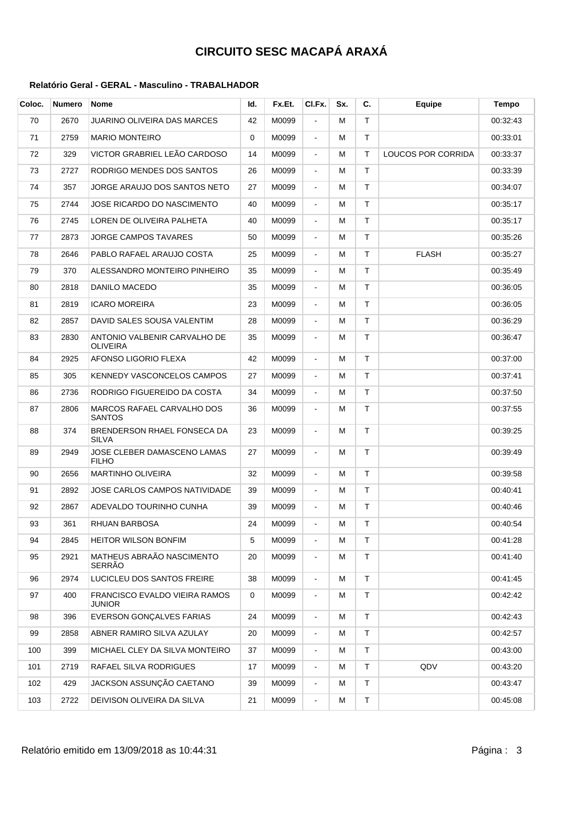| Coloc. | <b>Numero</b> | <b>Nome</b>                                     | ld. | Fx.Et. | CI.Fx.                   | Sx. | C.          | Equipe             | Tempo    |
|--------|---------------|-------------------------------------------------|-----|--------|--------------------------|-----|-------------|--------------------|----------|
| 70     | 2670          | JUARINO OLIVEIRA DAS MARCES                     | 42  | M0099  | $\overline{\phantom{a}}$ | м   | T.          |                    | 00:32:43 |
| 71     | 2759          | <b>MARIO MONTEIRO</b>                           | 0   | M0099  | $\blacksquare$           | м   | T.          |                    | 00:33:01 |
| 72     | 329           | VICTOR GRABRIEL LEÃO CARDOSO                    | 14  | M0099  | $\blacksquare$           | м   | T.          | LOUCOS POR CORRIDA | 00:33:37 |
| 73     | 2727          | RODRIGO MENDES DOS SANTOS                       | 26  | M0099  | $\blacksquare$           | м   | T.          |                    | 00:33:39 |
| 74     | 357           | JORGE ARAUJO DOS SANTOS NETO                    | 27  | M0099  | $\blacksquare$           | м   | T.          |                    | 00:34:07 |
| 75     | 2744          | JOSE RICARDO DO NASCIMENTO                      | 40  | M0099  | $\blacksquare$           | м   | T           |                    | 00:35:17 |
| 76     | 2745          | LOREN DE OLIVEIRA PALHETA                       | 40  | M0099  | $\blacksquare$           | м   | T.          |                    | 00:35:17 |
| 77     | 2873          | JORGE CAMPOS TAVARES                            | 50  | M0099  | $\blacksquare$           | м   | T.          |                    | 00:35:26 |
| 78     | 2646          | PABLO RAFAEL ARAUJO COSTA                       | 25  | M0099  | $\blacksquare$           | м   | T.          | <b>FLASH</b>       | 00:35:27 |
| 79     | 370           | ALESSANDRO MONTEIRO PINHEIRO                    | 35  | M0099  | $\blacksquare$           | м   | T.          |                    | 00:35:49 |
| 80     | 2818          | DANILO MACEDO                                   | 35  | M0099  | $\blacksquare$           | м   | T.          |                    | 00:36:05 |
| 81     | 2819          | <b>ICARO MOREIRA</b>                            | 23  | M0099  | $\blacksquare$           | м   | T.          |                    | 00:36:05 |
| 82     | 2857          | DAVID SALES SOUSA VALENTIM                      | 28  | M0099  | $\blacksquare$           | м   | T.          |                    | 00:36:29 |
| 83     | 2830          | ANTONIO VALBENIR CARVALHO DE<br><b>OLIVEIRA</b> | 35  | M0099  | $\blacksquare$           | м   | T           |                    | 00:36:47 |
| 84     | 2925          | AFONSO LIGORIO FLEXA                            | 42  | M0099  | $\blacksquare$           | м   | T.          |                    | 00:37:00 |
| 85     | 305           | <b>KENNEDY VASCONCELOS CAMPOS</b>               | 27  | M0099  | $\blacksquare$           | м   | T.          |                    | 00:37:41 |
| 86     | 2736          | RODRIGO FIGUEREIDO DA COSTA                     | 34  | M0099  | $\blacksquare$           | м   | T.          |                    | 00:37:50 |
| 87     | 2806          | MARCOS RAFAEL CARVALHO DOS<br><b>SANTOS</b>     | 36  | M0099  | $\blacksquare$           | м   | Τ           |                    | 00:37:55 |
| 88     | 374           | BRENDERSON RHAEL FONSECA DA<br><b>SILVA</b>     | 23  | M0099  | $\blacksquare$           | м   | T           |                    | 00:39:25 |
| 89     | 2949          | JOSE CLEBER DAMASCENO LAMAS<br><b>FILHO</b>     | 27  | M0099  | $\blacksquare$           | м   | T.          |                    | 00:39:49 |
| 90     | 2656          | MARTINHO OLIVEIRA                               | 32  | M0099  | $\blacksquare$           | м   | T.          |                    | 00:39:58 |
| 91     | 2892          | JOSE CARLOS CAMPOS NATIVIDADE                   | 39  | M0099  | $\blacksquare$           | м   | T.          |                    | 00:40:41 |
| 92     | 2867          | ADEVALDO TOURINHO CUNHA                         | 39  | M0099  | $\blacksquare$           | м   | T.          |                    | 00:40:46 |
| 93     | 361           | RHUAN BARBOSA                                   | 24  | M0099  | $\blacksquare$           | м   | T.          |                    | 00:40:54 |
| 94     | 2845          | HEITOR WILSON BONFIM                            | 5   | M0099  | $\blacksquare$           | м   | T.          |                    | 00:41:28 |
| 95     | 2921          | MATHEUS ABRAÃO NASCIMENTO<br>SERRÃO             | 20  | M0099  | $\blacksquare$           | м   | $\mathsf T$ |                    | 00:41:40 |
| 96     | 2974          | LUCICLEU DOS SANTOS FREIRE                      | 38  | M0099  | $\blacksquare$           | м   | T.          |                    | 00:41:45 |
| 97     | 400           | FRANCISCO EVALDO VIEIRA RAMOS<br>JUNIOR         | 0   | M0099  | $\blacksquare$           | м   | Τ           |                    | 00:42:42 |
| 98     | 396           | <b>EVERSON GONCALVES FARIAS</b>                 | 24  | M0099  | $\blacksquare$           | м   | T.          |                    | 00:42:43 |
| 99     | 2858          | ABNER RAMIRO SILVA AZULAY                       | 20  | M0099  | $\blacksquare$           | м   | T.          |                    | 00:42:57 |
| 100    | 399           | MICHAEL CLEY DA SILVA MONTEIRO                  | 37  | M0099  | $\blacksquare$           | м   | Τ           |                    | 00:43:00 |
| 101    | 2719          | RAFAEL SILVA RODRIGUES                          | 17  | M0099  | $\blacksquare$           | м   | Τ           | QDV                | 00:43:20 |
| 102    | 429           | JACKSON ASSUNÇÃO CAETANO                        | 39  | M0099  | $\blacksquare$           | м   | T.          |                    | 00:43:47 |
| 103    | 2722          | DEIVISON OLIVEIRA DA SILVA                      | 21  | M0099  | $\blacksquare$           | м   | $\mathsf T$ |                    | 00:45:08 |